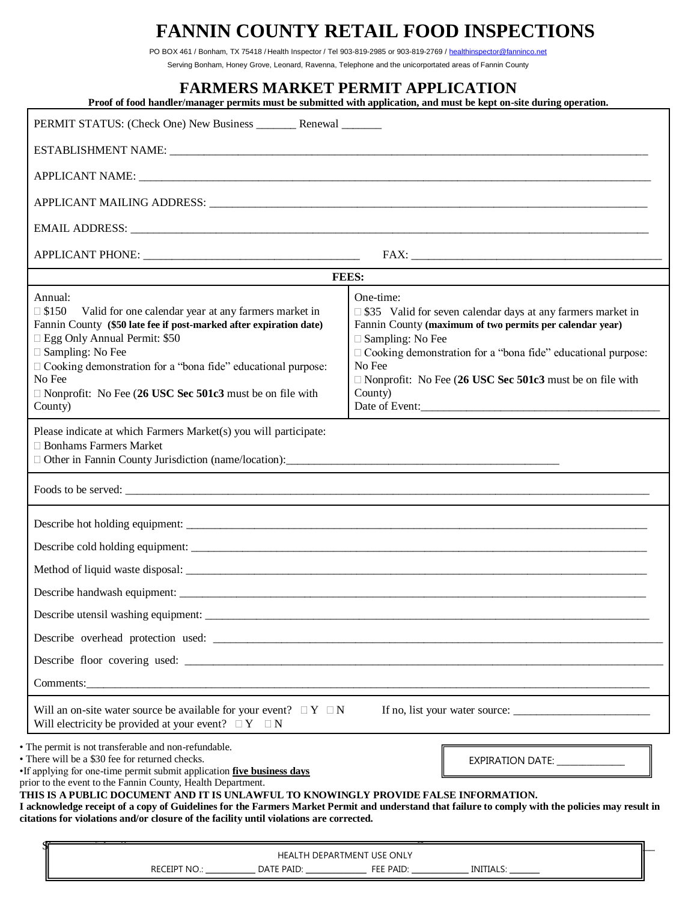# **FANNIN COUNTY RETAIL FOOD INSPECTIONS**

PO BOX 461 / Bonham, TX 75418 / Health Inspector / Tel 903-819-2985 or 903-819-2769 [/ healthinspector@fanninco.net](mailto:healthinspector@fanninco.net) Serving Bonham, Honey Grove, Leonard, Ravenna, Telephone and the unicorportated areas of Fannin County

# **FARMERS MARKET PERMIT APPLICATION**

|                                                                                                                                                                                                                                                                                                                                                                       | Proof of food handler/manager permits must be submitted with application, and must be kept on-site during operation.                                                                                                                                                                                                                |
|-----------------------------------------------------------------------------------------------------------------------------------------------------------------------------------------------------------------------------------------------------------------------------------------------------------------------------------------------------------------------|-------------------------------------------------------------------------------------------------------------------------------------------------------------------------------------------------------------------------------------------------------------------------------------------------------------------------------------|
| PERMIT STATUS: (Check One) New Business _________ Renewal ________                                                                                                                                                                                                                                                                                                    |                                                                                                                                                                                                                                                                                                                                     |
|                                                                                                                                                                                                                                                                                                                                                                       |                                                                                                                                                                                                                                                                                                                                     |
|                                                                                                                                                                                                                                                                                                                                                                       |                                                                                                                                                                                                                                                                                                                                     |
|                                                                                                                                                                                                                                                                                                                                                                       |                                                                                                                                                                                                                                                                                                                                     |
|                                                                                                                                                                                                                                                                                                                                                                       |                                                                                                                                                                                                                                                                                                                                     |
|                                                                                                                                                                                                                                                                                                                                                                       |                                                                                                                                                                                                                                                                                                                                     |
|                                                                                                                                                                                                                                                                                                                                                                       | FEES:                                                                                                                                                                                                                                                                                                                               |
| Annual:<br>$\Box$ \$150<br>Valid for one calendar year at any farmers market in<br>Fannin County (\$50 late fee if post-marked after expiration date)<br>Egg Only Annual Permit: \$50<br>□ Sampling: No Fee<br>□ Cooking demonstration for a "bona fide" educational purpose:<br>No Fee<br>$\Box$ Nonprofit: No Fee (26 USC Sec 501c3 must be on file with<br>County) | One-time:<br>$\Box$ \$35 Valid for seven calendar days at any farmers market in<br>Fannin County (maximum of two permits per calendar year)<br>$\square$ Sampling: No Fee<br>□ Cooking demonstration for a "bona fide" educational purpose:<br>No Fee<br>$\Box$ Nonprofit: No Fee (26 USC Sec 501c3 must be on file with<br>County) |
| Please indicate at which Farmers Market(s) you will participate:<br><b>Bonhams Farmers Market</b>                                                                                                                                                                                                                                                                     |                                                                                                                                                                                                                                                                                                                                     |
| Foods to be served:                                                                                                                                                                                                                                                                                                                                                   |                                                                                                                                                                                                                                                                                                                                     |
|                                                                                                                                                                                                                                                                                                                                                                       |                                                                                                                                                                                                                                                                                                                                     |
|                                                                                                                                                                                                                                                                                                                                                                       |                                                                                                                                                                                                                                                                                                                                     |
|                                                                                                                                                                                                                                                                                                                                                                       |                                                                                                                                                                                                                                                                                                                                     |
|                                                                                                                                                                                                                                                                                                                                                                       |                                                                                                                                                                                                                                                                                                                                     |
|                                                                                                                                                                                                                                                                                                                                                                       |                                                                                                                                                                                                                                                                                                                                     |
|                                                                                                                                                                                                                                                                                                                                                                       |                                                                                                                                                                                                                                                                                                                                     |
|                                                                                                                                                                                                                                                                                                                                                                       |                                                                                                                                                                                                                                                                                                                                     |
|                                                                                                                                                                                                                                                                                                                                                                       |                                                                                                                                                                                                                                                                                                                                     |
| Will an on-site water source be available for your event? $\Box Y \Box N$<br>Will electricity be provided at your event? $\Box Y \Box N$                                                                                                                                                                                                                              |                                                                                                                                                                                                                                                                                                                                     |
| • The permit is not transferable and non-refundable.<br>• There will be a \$30 fee for returned checks.<br>If applying for one-time permit submit application five business days<br>prior to the event to the Fannin County, Health Department.<br>THIS IS A PUBLIC DOCUMENT AND IT IS UNLAWFUL TO KNOWINGLY PROVIDE FALSE INFORMATION.                               | EXPIRATION DATE: _______________                                                                                                                                                                                                                                                                                                    |

**I acknowledge receipt of a copy of Guidelines for the Farmers Market Permit and understand that failure to comply with the policies may result in** 

**citations for violations and/or closure of the facility until violations are corrected.**

| I ICE (<br><b>ONLY</b><br>JE.<br><b>MEN</b><br>′∆ ⊬<br>┓┏ |                  |            |                    |               |  |
|-----------------------------------------------------------|------------------|------------|--------------------|---------------|--|
|                                                           | -RF<br>NO.<br>`` | DA.<br>¬⊥∟ | ᄂᄂᄂ<br>UAIL.<br>-- | INI<br>.<br>. |  |